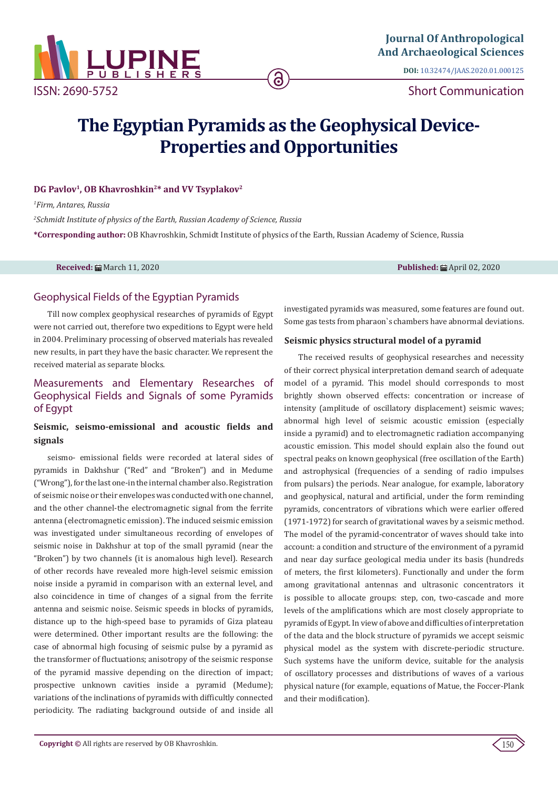

**DOI:** [10.32474/JAAS.2020.01.000125](http://dx.doi.org/10.32474/JAAS.2020.01.000125)

Short Communication

# **The Egyptian Pyramids as the Geophysical Device-Properties and Opportunities**

<u>ි</u>

#### DG Pavlov<sup>1</sup>, OB Khavroshkin<sup>2\*</sup> and VV Tsyplakov<sup>2</sup>

*1 Firm, Antares, Russia*

*2 Schmidt Institute of physics of the Earth, Russian Academy of Science, Russia* **\*Corresponding author:** OB Khavroshkin, Schmidt Institute of physics of the Earth, Russian Academy of Science, Russia

**Received:** ■ March 11, 2020 **Published:** ■ March 11, 2020 **Published:** ■ April 02, 2020

#### Geophysical Fields of the Egyptian Pyramids

Till now complex geophysical researches of pyramids of Egypt were not carried out, therefore two expeditions to Egypt were held in 2004. Preliminary processing of observed materials has revealed new results, in part they have the basic character. We represent the received material as separate blocks.

# Measurements and Elementary Researches of Geophysical Fields and Signals of some Pyramids of Egypt

## **Seismic, seismo-emissional and acoustic fields and signals**

seismo- emissional fields were recorded at lateral sides of pyramids in Dakhshur ("Red" and "Broken") and in Medume ("Wrong"), for the last one-in the internal chamber also. Registration of seismic noise or their envelopes was conducted with one channel, and the other channel-the electromagnetic signal from the ferrite antenna (electromagnetic emission). The induced seismic emission was investigated under simultaneous recording of envelopes of seismic noise in Dakhshur at top of the small pyramid (near the "Broken") by two channels (it is anomalous high level). Research of other records have revealed more high-level seismic emission noise inside a pyramid in comparison with an external level, and also coincidence in time of changes of a signal from the ferrite antenna and seismic noise. Seismic speeds in blocks of pyramids, distance up to the high-speed base to pyramids of Giza plateau were determined. Other important results are the following: the case of abnormal high focusing of seismic pulse by a pyramid as the transformer of fluctuations; anisotropy of the seismic response of the pyramid massive depending on the direction of impact; prospective unknown cavities inside a pyramid (Medume); variations of the inclinations of pyramids with difficultly connected periodicity. The radiating background outside of and inside all

investigated pyramids was measured, some features are found out. Some gas tests from pharaon`s chambers have abnormal deviations.

#### **Seismic physics structural model of a pyramid**

The received results of geophysical researches and necessity of their correct physical interpretation demand search of adequate model of a pyramid. This model should corresponds to most brightly shown observed effects: concentration or increase of intensity (amplitude of oscillatory displacement) seismic waves; abnormal high level of seismic acoustic emission (especially inside a pyramid) and to electromagnetic radiation accompanying acoustic emission. This model should explain also the found out spectral peaks on known geophysical (free oscillation of the Earth) and astrophysical (frequencies of a sending of radio impulses from pulsars) the periods. Near analogue, for example, laboratory and geophysical, natural and artificial, under the form reminding pyramids, concentrators of vibrations which were earlier offered (1971-1972) for search of gravitational waves by a seismic method. The model of the pyramid-concentrator of waves should take into account: a condition and structure of the environment of a pyramid and near day surface geological media under its basis (hundreds of meters, the first kilometers). Functionally and under the form among gravitational antennas and ultrasonic concentrators it is possible to allocate groups: step, con, two-cascade and more levels of the amplifications which are most closely appropriate to pyramids of Egypt. In view of above and difficulties of interpretation of the data and the block structure of pyramids we accept seismic physical model as the system with discrete-periodic structure. Such systems have the uniform device, suitable for the analysis of oscillatory processes and distributions of waves of a various physical nature (for example, equations of Matue, the Foccer-Plank and their modification).

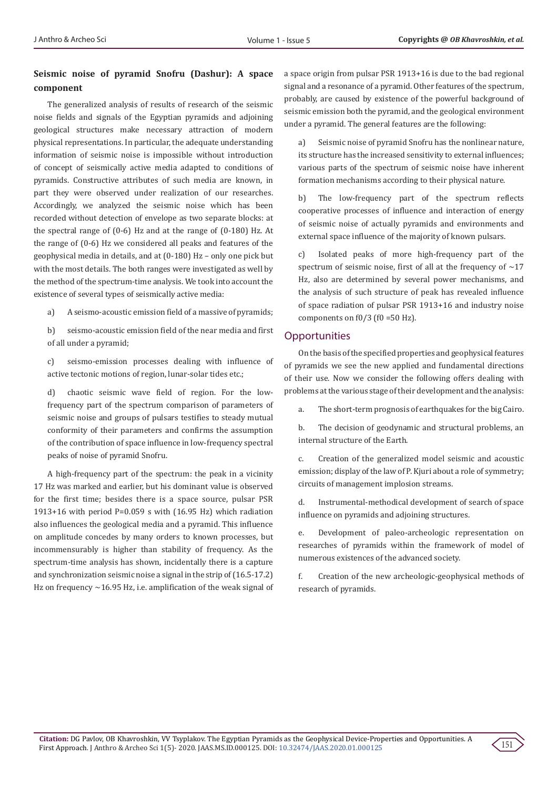### **Seismic noise of pyramid Snofru (Dashur): A space component**

The generalized analysis of results of research of the seismic noise fields and signals of the Egyptian pyramids and adjoining geological structures make necessary attraction of modern physical representations. In particular, the adequate understanding information of seismic noise is impossible without introduction of concept of seismically active media adapted to conditions of pyramids. Constructive attributes of such media are known, in part they were observed under realization of our researches. Accordingly, we analyzed the seismic noise which has been recorded without detection of envelope as two separate blocks: at the spectral range of (0-6) Hz and at the range of (0-180) Hz. At the range of (0-6) Hz we considered all peaks and features of the geophysical media in details, and at (0-180) Hz – only one pick but with the most details. The both ranges were investigated as well by the method of the spectrum-time analysis. We took into account the existence of several types of seismically active media:

a) A seismo-acoustic emission field of a massive of pyramids;

b) seismo-acoustic emission field of the near media and first of all under a pyramid;

c) seismo-emission processes dealing with influence of active tectonic motions of region, lunar-solar tides etc.;

d) chaotic seismic wave field of region. For the lowfrequency part of the spectrum comparison of parameters of seismic noise and groups of pulsars testifies to steady mutual conformity of their parameters and confirms the assumption of the contribution of space influence in low-frequency spectral peaks of noise of pyramid Snofru.

A high-frequency part of the spectrum: the peak in a vicinity 17 Hz was marked and earlier, but his dominant value is observed for the first time; besides there is a space source, pulsar PSR 1913+16 with period Р=0.059 s with (16.95 Hz) which radiation also influences the geological media and a pyramid. This influence on amplitude concedes by many orders to known processes, but incommensurably is higher than stability of frequency. As the spectrum-time analysis has shown, incidentally there is a capture and synchronization seismic noise a signal in the strip of (16.5-17.2) Hz on frequency  $\sim$  16.95 Hz, i.e. amplification of the weak signal of a space origin from pulsar PSR 1913+16 is due to the bad regional signal and a resonance of a pyramid. Other features of the spectrum, probably, are caused by existence of the powerful background of seismic emission both the pyramid, and the geological environment under a pyramid. The general features are the following:

a) Seismic noise of pyramid Snofru has the nonlinear nature, its structure has the increased sensitivity to external influences; various parts of the spectrum of seismic noise have inherent formation mechanisms according to their physical nature.

b) The low-frequency part of the spectrum reflects cooperative processes of influence and interaction of energy of seismic noise of actually pyramids and environments and external space influence of the majority of known pulsars.

c) Isolated peaks of more high-frequency part of the spectrum of seismic noise, first of all at the frequency of  $\sim$ 17 Hz, also are determined by several power mechanisms, and the analysis of such structure of peak has revealed influence of space radiation of pulsar PSR 1913+16 and industry noise components on  $f0/3$  ( $f0 = 50$  Hz).

## **Opportunities**

On the basis of the specified properties and geophysical features of pyramids we see the new applied and fundamental directions of their use. Now we consider the following offers dealing with problems at the various stage of their development and the analysis:

a. The short-term prognosis of earthquakes for the big Cairo.

b. The decision of geodynamic and structural problems, an internal structure of the Earth.

c. Creation of the generalized model seismic and acoustic emission; display of the law of P. Kjuri about a role of symmetry; circuits of management implosion streams.

d. Instrumental-methodical development of search of space influence on pyramids and adjoining structures.

e. Development of paleo-archeologic representation on researches of pyramids within the framework of model of numerous existences of the advanced society.

f. Creation of the new archeologic-geophysical methods of research of pyramids.